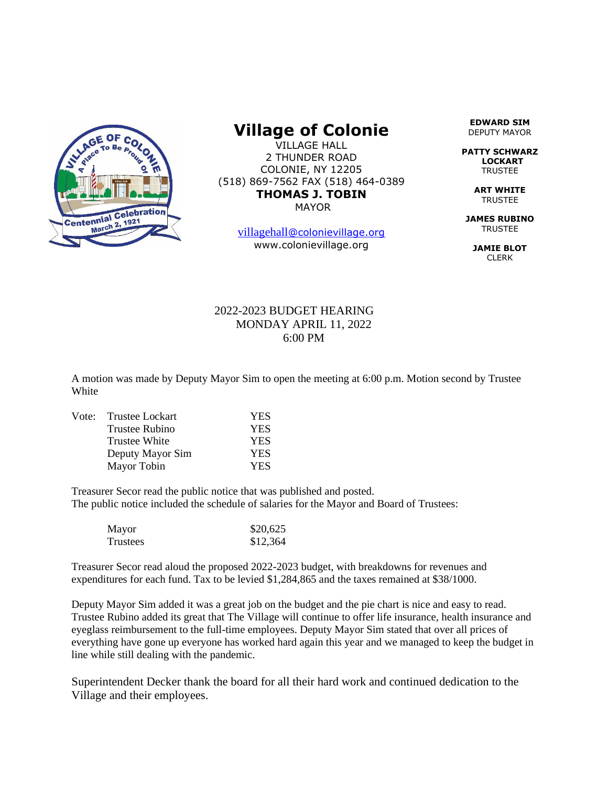

## **Village of Colonie**

VILLAGE HALL 2 THUNDER ROAD COLONIE, NY 12205 (518) 869-7562 FAX (518) 464-0389 **THOMAS J. TOBIN** MAYOR

[villagehall](mailto:villagehall@colonievillage.org)[@colonievillage.org](mailto:villagehall@colonievillage.org) www.colonievillage.org

**EDWARD SIM** DEPUTY MAYOR

**PATTY SCHWARZ LOCKART** TRUSTEE

> **ART WHITE TRUSTEE**

**JAMES RUBINO** TRUSTEE

**JAMIE BLOT** CLERK

## 2022-2023 BUDGET HEARING MONDAY APRIL 11, 2022 6:00 PM

A motion was made by Deputy Mayor Sim to open the meeting at 6:00 p.m. Motion second by Trustee **White** 

| Vote: | Trustee Lockart  | <b>YES</b> |
|-------|------------------|------------|
|       | Trustee Rubino   | <b>YES</b> |
|       | Trustee White    | <b>YES</b> |
|       | Deputy Mayor Sim | <b>YES</b> |
|       | Mayor Tobin      | <b>YES</b> |

Treasurer Secor read the public notice that was published and posted. The public notice included the schedule of salaries for the Mayor and Board of Trustees:

| Mayor    | \$20,625 |
|----------|----------|
| Trustees | \$12,364 |

Treasurer Secor read aloud the proposed 2022-2023 budget, with breakdowns for revenues and expenditures for each fund. Tax to be levied \$1,284,865 and the taxes remained at \$38/1000.

Deputy Mayor Sim added it was a great job on the budget and the pie chart is nice and easy to read. Trustee Rubino added its great that The Village will continue to offer life insurance, health insurance and eyeglass reimbursement to the full-time employees. Deputy Mayor Sim stated that over all prices of everything have gone up everyone has worked hard again this year and we managed to keep the budget in line while still dealing with the pandemic.

Superintendent Decker thank the board for all their hard work and continued dedication to the Village and their employees.